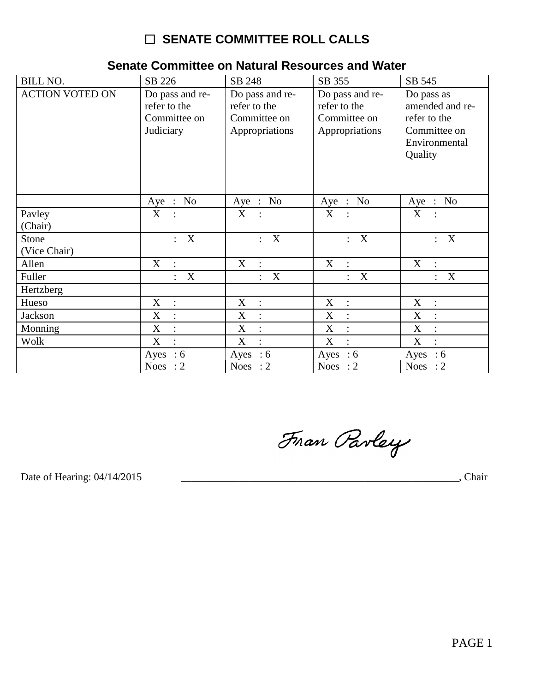## □ SENATE COMMITTEE ROLL CALLS

| <b>BILL NO.</b>        | SB 226                                                       | SB 248                                                            | SB 355                                                            | SB 545                                                                                    |
|------------------------|--------------------------------------------------------------|-------------------------------------------------------------------|-------------------------------------------------------------------|-------------------------------------------------------------------------------------------|
| <b>ACTION VOTED ON</b> | Do pass and re-<br>refer to the<br>Committee on<br>Judiciary | Do pass and re-<br>refer to the<br>Committee on<br>Appropriations | Do pass and re-<br>refer to the<br>Committee on<br>Appropriations | Do pass as<br>amended and re-<br>refer to the<br>Committee on<br>Environmental<br>Quality |
|                        | Aye : No                                                     | Aye : No                                                          | Aye : No                                                          | Aye : No                                                                                  |
| Pavley<br>(Chair)      | X<br>$\ddot{\phantom{1}}$ :                                  | X :                                                               | X :                                                               | X                                                                                         |
| Stone<br>(Vice Chair)  | X<br>$\mathbb{R}^{\mathbb{Z}}$                               | : X                                                               | $\boldsymbol{\mathrm{X}}$<br>÷                                    | $\boldsymbol{\mathrm{X}}$<br>$\ddot{\phantom{0}}$                                         |
| Allen                  | X<br>$\ddot{\phantom{a}}$                                    | X<br>$\ddot{\cdot}$                                               | X<br>$\ddot{\cdot}$                                               | X<br>$\ddot{\cdot}$                                                                       |
| Fuller                 | $\mathbf X$                                                  | $\mathbf X$                                                       | X<br>$\ddot{\phantom{a}}$                                         | X<br>$\ddot{\cdot}$                                                                       |
| Hertzberg              |                                                              |                                                                   |                                                                   |                                                                                           |
| Hueso                  | X<br>$\ddot{\phantom{a}}$ :                                  | X :                                                               | $X$ :                                                             | X<br>$\sim$ 1.                                                                            |
| Jackson                | $\boldsymbol{X}$<br>$\ddot{\cdot}$                           | $\boldsymbol{\mathrm{X}}$<br>$\ddot{\cdot}$                       | X<br>$\ddot{\cdot}$                                               | X<br>$\cdot$                                                                              |
| Monning                | X<br>$\ddot{\cdot}$                                          | X<br>$\ddot{\cdot}$                                               | X<br>$\ddot{\cdot}$                                               | X<br>$\ddot{\cdot}$                                                                       |
| Wolk                   | $\boldsymbol{X}$                                             | X<br>$\ddot{\cdot}$                                               | X<br>$\ddot{\cdot}$                                               | X<br>$\ddot{\cdot}$                                                                       |
|                        | Ayes : $6$                                                   | Ayes : $6$                                                        | Ayes : $6$                                                        | Ayes : $6$                                                                                |
|                        | Noes : $2$                                                   | Noes : $2$                                                        | Noes : $2$                                                        | Noes : $2$                                                                                |

## Senate Committee on Natural Resources and Water

Fran Parley

Date of Hearing: 04/14/2015

, Chair